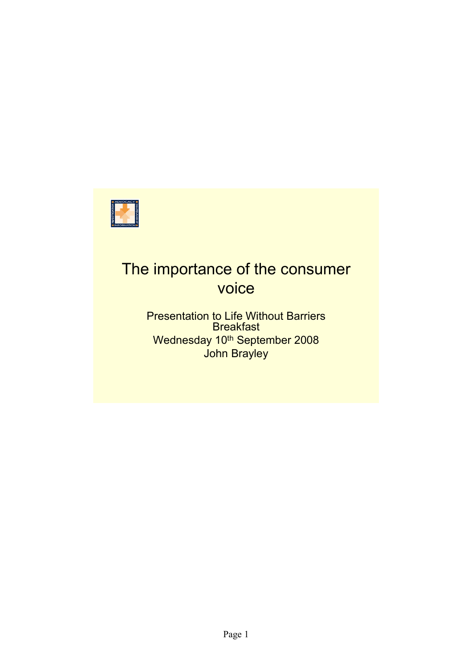

# The importance of the consumer voice

Presentation to Life Without Barriers **Breakfast** Wednesday 10<sup>th</sup> September 2008 John Brayley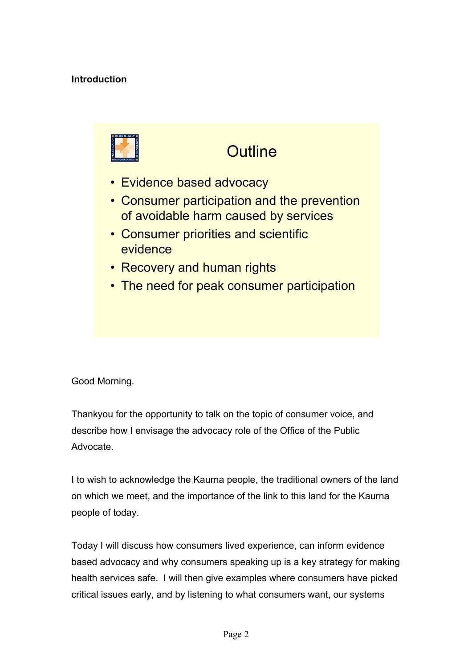#### **Introduction**



### **Outline**

- Evidence based advocacy
- Consumer participation and the prevention of avoidable harm caused by services
- Consumer priorities and scientific evidence
- Recovery and human rights
- The need for peak consumer participation

Good Morning.

Thankyou for the opportunity to talk on the topic of consumer voice, and describe how I envisage the advocacy role of the Office of the Public Advocate.

I to wish to acknowledge the Kaurna people, the traditional owners of the land on which we meet, and the importance of the link to this land for the Kaurna people of today.

Today I will discuss how consumers lived experience, can inform evidence based advocacy and why consumers speaking up is a key strategy for making health services safe. I will then give examples where consumers have picked critical issues early, and by listening to what consumers want, our systems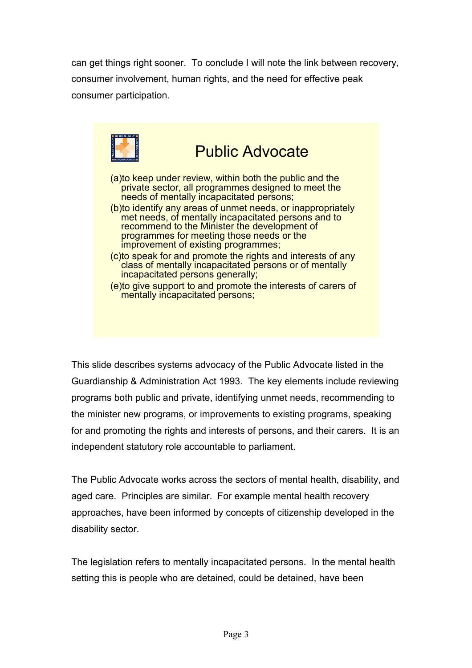can get things right sooner. To conclude I will note the link between recovery, consumer involvement, human rights, and the need for effective peak consumer participation.



This slide describes systems advocacy of the Public Advocate listed in the Guardianship & Administration Act 1993. The key elements include reviewing programs both public and private, identifying unmet needs, recommending to the minister new programs, or improvements to existing programs, speaking for and promoting the rights and interests of persons, and their carers. It is an independent statutory role accountable to parliament.

The Public Advocate works across the sectors of mental health, disability, and aged care. Principles are similar. For example mental health recovery approaches, have been informed by concepts of citizenship developed in the disability sector.

The legislation refers to mentally incapacitated persons. In the mental health setting this is people who are detained, could be detained, have been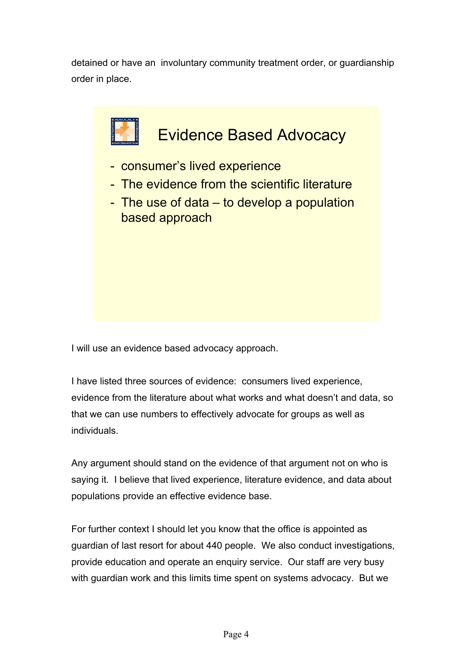detained or have an involuntary community treatment order, or guardianship order in place.



I will use an evidence based advocacy approach.

I have listed three sources of evidence: consumers lived experience, evidence from the literature about what works and what doesn't and data, so that we can use numbers to effectively advocate for groups as well as individuals.

Any argument should stand on the evidence of that argument not on who is saying it. I believe that lived experience, literature evidence, and data about populations provide an effective evidence base.

For further context I should let you know that the office is appointed as guardian of last resort for about 440 people. We also conduct investigations, provide education and operate an enquiry service. Our staff are very busy with guardian work and this limits time spent on systems advocacy. But we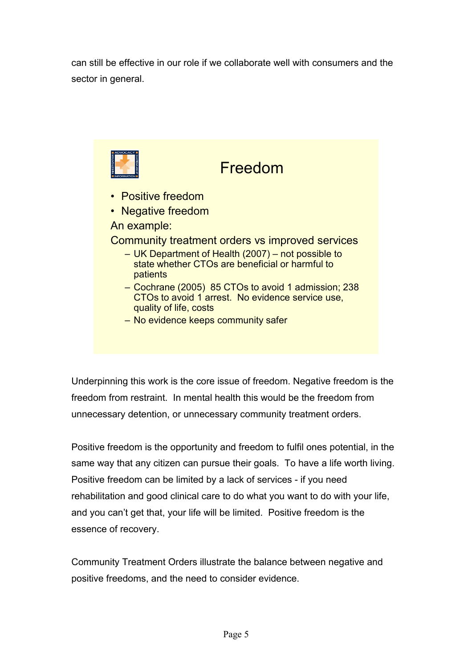can still be effective in our role if we collaborate well with consumers and the sector in general.



– No evidence keeps community safer

Underpinning this work is the core issue of freedom. Negative freedom is the freedom from restraint. In mental health this would be the freedom from unnecessary detention, or unnecessary community treatment orders.

Positive freedom is the opportunity and freedom to fulfil ones potential, in the same way that any citizen can pursue their goals. To have a life worth living. Positive freedom can be limited by a lack of services - if you need rehabilitation and good clinical care to do what you want to do with your life, and you can't get that, your life will be limited. Positive freedom is the essence of recovery.

Community Treatment Orders illustrate the balance between negative and positive freedoms, and the need to consider evidence.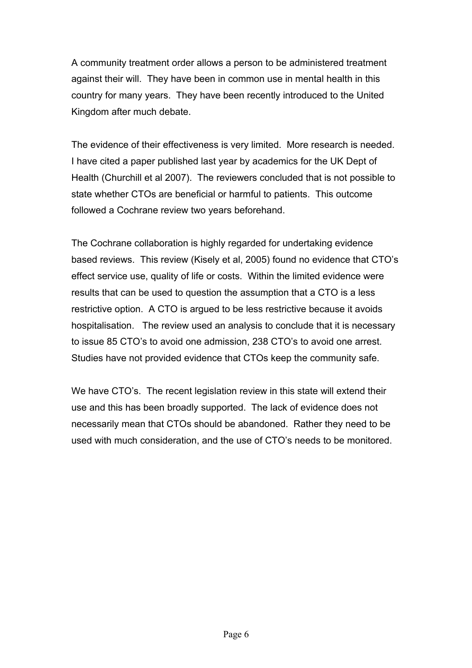A community treatment order allows a person to be administered treatment against their will. They have been in common use in mental health in this country for many years. They have been recently introduced to the United Kingdom after much debate.

The evidence of their effectiveness is very limited. More research is needed. I have cited a paper published last year by academics for the UK Dept of Health (Churchill et al 2007). The reviewers concluded that is not possible to state whether CTOs are beneficial or harmful to patients. This outcome followed a Cochrane review two years beforehand.

The Cochrane collaboration is highly regarded for undertaking evidence based reviews. This review (Kisely et al, 2005) found no evidence that CTO's effect service use, quality of life or costs. Within the limited evidence were results that can be used to question the assumption that a CTO is a less restrictive option. A CTO is argued to be less restrictive because it avoids hospitalisation. The review used an analysis to conclude that it is necessary to issue 85 CTO's to avoid one admission, 238 CTO's to avoid one arrest. Studies have not provided evidence that CTOs keep the community safe.

We have CTO's. The recent legislation review in this state will extend their use and this has been broadly supported. The lack of evidence does not necessarily mean that CTOs should be abandoned. Rather they need to be used with much consideration, and the use of CTO's needs to be monitored.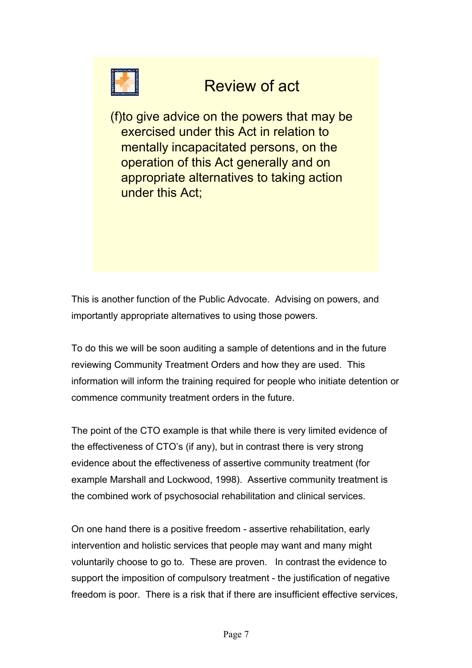

## Review of act

(f)to give advice on the powers that may be exercised under this Act in relation to mentally incapacitated persons, on the operation of this Act generally and on appropriate alternatives to taking action under this Act;

This is another function of the Public Advocate. Advising on powers, and importantly appropriate alternatives to using those powers.

To do this we will be soon auditing a sample of detentions and in the future reviewing Community Treatment Orders and how they are used. This information will inform the training required for people who initiate detention or commence community treatment orders in the future.

The point of the CTO example is that while there is very limited evidence of the effectiveness of CTO's (if any), but in contrast there is very strong evidence about the effectiveness of assertive community treatment (for example Marshall and Lockwood, 1998). Assertive community treatment is the combined work of psychosocial rehabilitation and clinical services.

On one hand there is a positive freedom - assertive rehabilitation, early intervention and holistic services that people may want and many might voluntarily choose to go to. These are proven. In contrast the evidence to support the imposition of compulsory treatment - the justification of negative freedom is poor. There is a risk that if there are insufficient effective services,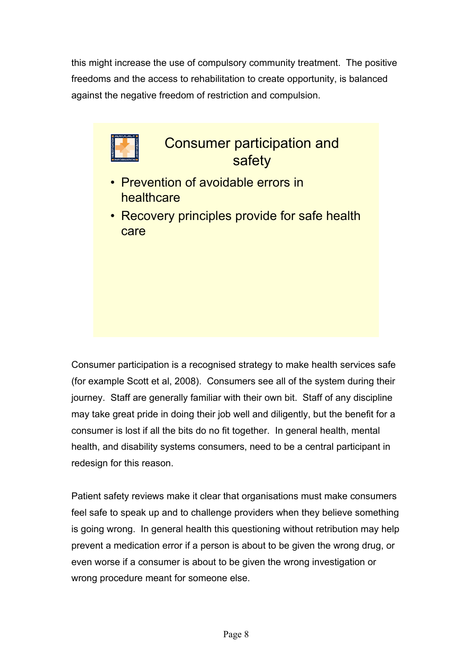this might increase the use of compulsory community treatment. The positive freedoms and the access to rehabilitation to create opportunity, is balanced against the negative freedom of restriction and compulsion.



Consumer participation is a recognised strategy to make health services safe (for example Scott et al, 2008). Consumers see all of the system during their journey. Staff are generally familiar with their own bit. Staff of any discipline may take great pride in doing their job well and diligently, but the benefit for a consumer is lost if all the bits do no fit together. In general health, mental health, and disability systems consumers, need to be a central participant in redesign for this reason.

Patient safety reviews make it clear that organisations must make consumers feel safe to speak up and to challenge providers when they believe something is going wrong. In general health this questioning without retribution may help prevent a medication error if a person is about to be given the wrong drug, or even worse if a consumer is about to be given the wrong investigation or wrong procedure meant for someone else.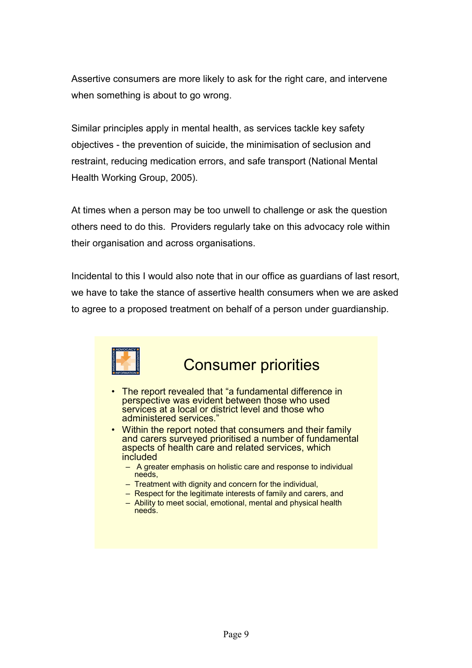Assertive consumers are more likely to ask for the right care, and intervene when something is about to go wrong.

Similar principles apply in mental health, as services tackle key safety objectives - the prevention of suicide, the minimisation of seclusion and restraint, reducing medication errors, and safe transport (National Mental Health Working Group, 2005).

At times when a person may be too unwell to challenge or ask the question others need to do this. Providers regularly take on this advocacy role within their organisation and across organisations.

Incidental to this I would also note that in our office as guardians of last resort, we have to take the stance of assertive health consumers when we are asked to agree to a proposed treatment on behalf of a person under guardianship.



### Consumer priorities

- The report revealed that "a fundamental difference in perspective was evident between those who used services at a local or district level and those who administered services."
- Within the report noted that consumers and their family and carers surveyed prioritised a number of fundamental aspects of health care and related services, which included
	- A greater emphasis on holistic care and response to individual needs,
	- Treatment with dignity and concern for the individual,
	- Respect for the legitimate interests of family and carers, and
	- Ability to meet social, emotional, mental and physical health needs.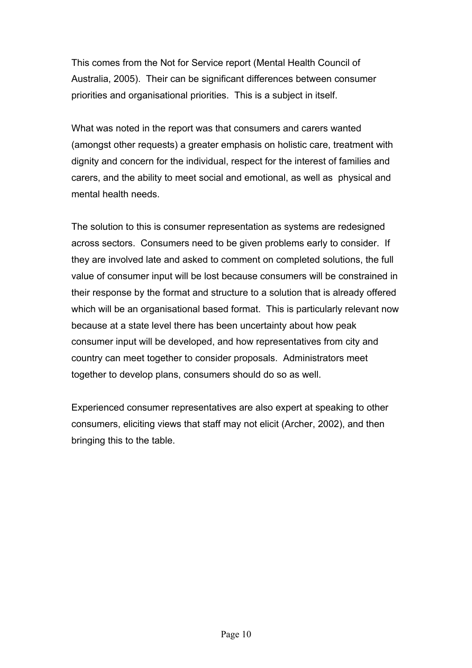This comes from the Not for Service report (Mental Health Council of Australia, 2005). Their can be significant differences between consumer priorities and organisational priorities. This is a subject in itself.

What was noted in the report was that consumers and carers wanted (amongst other requests) a greater emphasis on holistic care, treatment with dignity and concern for the individual, respect for the interest of families and carers, and the ability to meet social and emotional, as well as physical and mental health needs.

The solution to this is consumer representation as systems are redesigned across sectors. Consumers need to be given problems early to consider. If they are involved late and asked to comment on completed solutions, the full value of consumer input will be lost because consumers will be constrained in their response by the format and structure to a solution that is already offered which will be an organisational based format. This is particularly relevant now because at a state level there has been uncertainty about how peak consumer input will be developed, and how representatives from city and country can meet together to consider proposals. Administrators meet together to develop plans, consumers should do so as well.

Experienced consumer representatives are also expert at speaking to other consumers, eliciting views that staff may not elicit (Archer, 2002), and then bringing this to the table.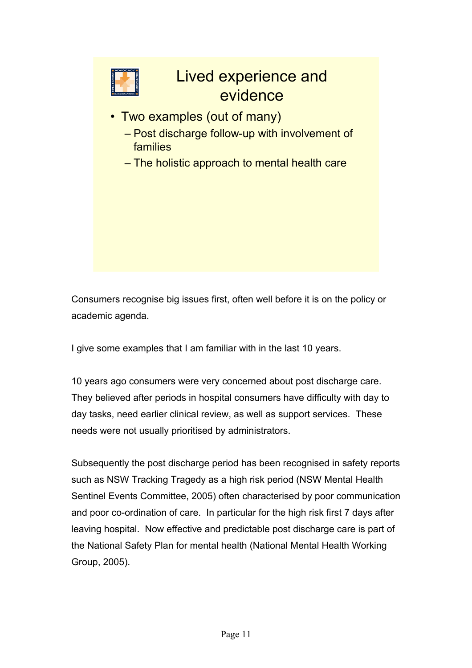

Consumers recognise big issues first, often well before it is on the policy or academic agenda.

I give some examples that I am familiar with in the last 10 years.

10 years ago consumers were very concerned about post discharge care. They believed after periods in hospital consumers have difficulty with day to day tasks, need earlier clinical review, as well as support services. These needs were not usually prioritised by administrators.

Subsequently the post discharge period has been recognised in safety reports such as NSW Tracking Tragedy as a high risk period (NSW Mental Health Sentinel Events Committee, 2005) often characterised by poor communication and poor co-ordination of care. In particular for the high risk first 7 days after leaving hospital. Now effective and predictable post discharge care is part of the National Safety Plan for mental health (National Mental Health Working Group, 2005).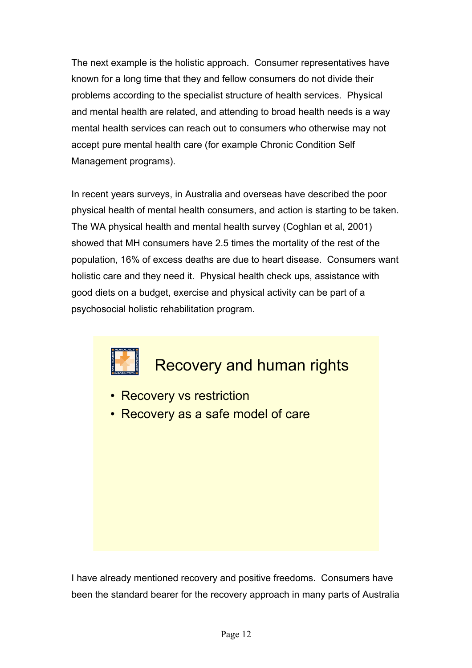The next example is the holistic approach. Consumer representatives have known for a long time that they and fellow consumers do not divide their problems according to the specialist structure of health services. Physical and mental health are related, and attending to broad health needs is a way mental health services can reach out to consumers who otherwise may not accept pure mental health care (for example Chronic Condition Self Management programs).

In recent years surveys, in Australia and overseas have described the poor physical health of mental health consumers, and action is starting to be taken. The WA physical health and mental health survey (Coghlan et al, 2001) showed that MH consumers have 2.5 times the mortality of the rest of the population, 16% of excess deaths are due to heart disease. Consumers want holistic care and they need it. Physical health check ups, assistance with good diets on a budget, exercise and physical activity can be part of a psychosocial holistic rehabilitation program.

Recovery and human rights

- Recovery vs restriction
- Recovery as a safe model of care

I have already mentioned recovery and positive freedoms. Consumers have been the standard bearer for the recovery approach in many parts of Australia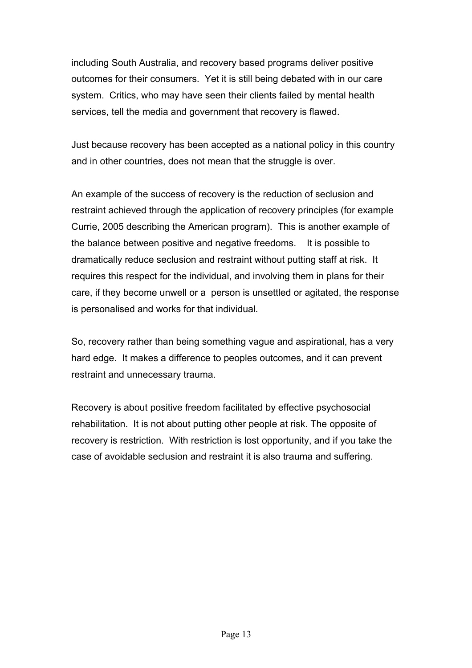including South Australia, and recovery based programs deliver positive outcomes for their consumers. Yet it is still being debated with in our care system. Critics, who may have seen their clients failed by mental health services, tell the media and government that recovery is flawed.

Just because recovery has been accepted as a national policy in this country and in other countries, does not mean that the struggle is over.

An example of the success of recovery is the reduction of seclusion and restraint achieved through the application of recovery principles (for example Currie, 2005 describing the American program). This is another example of the balance between positive and negative freedoms. It is possible to dramatically reduce seclusion and restraint without putting staff at risk. It requires this respect for the individual, and involving them in plans for their care, if they become unwell or a person is unsettled or agitated, the response is personalised and works for that individual.

So, recovery rather than being something vague and aspirational, has a very hard edge. It makes a difference to peoples outcomes, and it can prevent restraint and unnecessary trauma.

Recovery is about positive freedom facilitated by effective psychosocial rehabilitation. It is not about putting other people at risk. The opposite of recovery is restriction. With restriction is lost opportunity, and if you take the case of avoidable seclusion and restraint it is also trauma and suffering.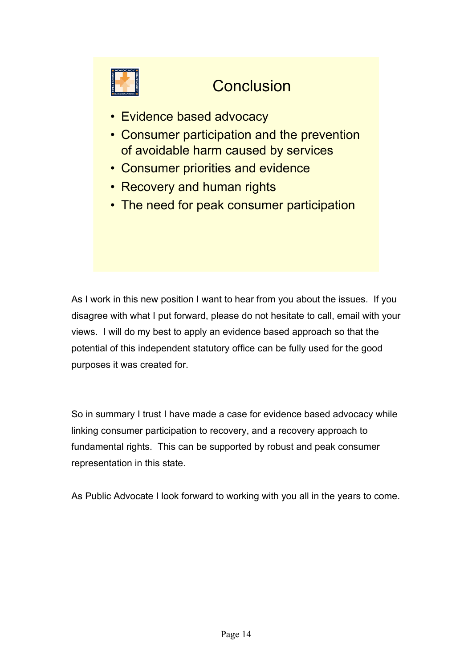

# **Conclusion**

- Evidence based advocacy
- Consumer participation and the prevention of avoidable harm caused by services
- Consumer priorities and evidence
- Recovery and human rights
- The need for peak consumer participation

As I work in this new position I want to hear from you about the issues. If you disagree with what I put forward, please do not hesitate to call, email with your views. I will do my best to apply an evidence based approach so that the potential of this independent statutory office can be fully used for the good purposes it was created for.

So in summary I trust I have made a case for evidence based advocacy while linking consumer participation to recovery, and a recovery approach to fundamental rights. This can be supported by robust and peak consumer representation in this state.

As Public Advocate I look forward to working with you all in the years to come.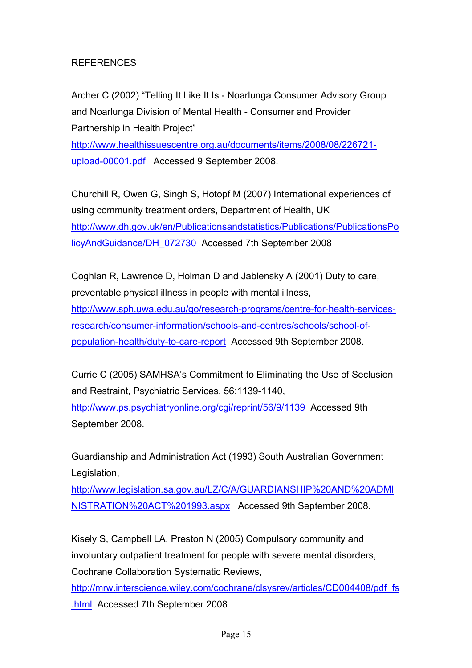#### REFERENCES

Archer C (2002) "Telling It Like It Is - Noarlunga Consumer Advisory Group and Noarlunga Division of Mental Health - Consumer and Provider Partnership in Health Project"

[http://www.healthissuescentre.org.au/documents/items/2008/08/226721](http://www.healthissuescentre.org.au/documents/items/2008/08/226721-upload-00001.pdf) [upload-00001.pdf](http://www.healthissuescentre.org.au/documents/items/2008/08/226721-upload-00001.pdf) Accessed 9 September 2008.

Churchill R, Owen G, Singh S, Hotopf M (2007) International experiences of using community treatment orders, Department of Health, UK [http://www.dh.gov.uk/en/Publicationsandstatistics/Publications/PublicationsPo](http://www.dh.gov.uk/en/Publicationsandstatistics/Publications/PublicationsPolicyAndGuidance/DH_072730) [licyAndGuidance/DH\\_072730](http://www.dh.gov.uk/en/Publicationsandstatistics/Publications/PublicationsPolicyAndGuidance/DH_072730) Accessed 7th September 2008

Coghlan R, Lawrence D, Holman D and Jablensky A (2001) Duty to care, preventable physical illness in people with mental illness, [http://www.sph.uwa.edu.au/go/research-programs/centre-for-health-services](http://www.sph.uwa.edu.au/go/research-programs/centre-for-health-services-research/consumer-information/schools-and-centres/schools/school-of-population-health/duty-to-care-report)[research/consumer-information/schools-and-centres/schools/school-of](http://www.sph.uwa.edu.au/go/research-programs/centre-for-health-services-research/consumer-information/schools-and-centres/schools/school-of-population-health/duty-to-care-report)[population-health/duty-to-care-report](http://www.sph.uwa.edu.au/go/research-programs/centre-for-health-services-research/consumer-information/schools-and-centres/schools/school-of-population-health/duty-to-care-report) Accessed 9th September 2008.

Currie C (2005) SAMHSA's Commitment to Eliminating the Use of Seclusion and Restraint, Psychiatric Services, 56:1139-1140, <http://www.ps.psychiatryonline.org/cgi/reprint/56/9/1139>Accessed 9th September 2008.

Guardianship and Administration Act (1993) South Australian Government Legislation,

[http://www.legislation.sa.gov.au/LZ/C/A/GUARDIANSHIP%20AND%20ADMI](http://www.legislation.sa.gov.au/LZ/C/A/GUARDIANSHIP AND ADMINISTRATION ACT 1993.aspx) [NISTRATION%20ACT%201993.aspx](http://www.legislation.sa.gov.au/LZ/C/A/GUARDIANSHIP AND ADMINISTRATION ACT 1993.aspx) Accessed 9th September 2008.

Kisely S, Campbell LA, Preston N (2005) Compulsory community and involuntary outpatient treatment for people with severe mental disorders, Cochrane Collaboration Systematic Reviews,

[http://mrw.interscience.wiley.com/cochrane/clsysrev/articles/CD004408/pdf\\_fs](http://mrw.interscience.wiley.com/cochrane/clsysrev/articles/CD004408/pdf_fs.html) [.html](http://mrw.interscience.wiley.com/cochrane/clsysrev/articles/CD004408/pdf_fs.html) Accessed 7th September 2008